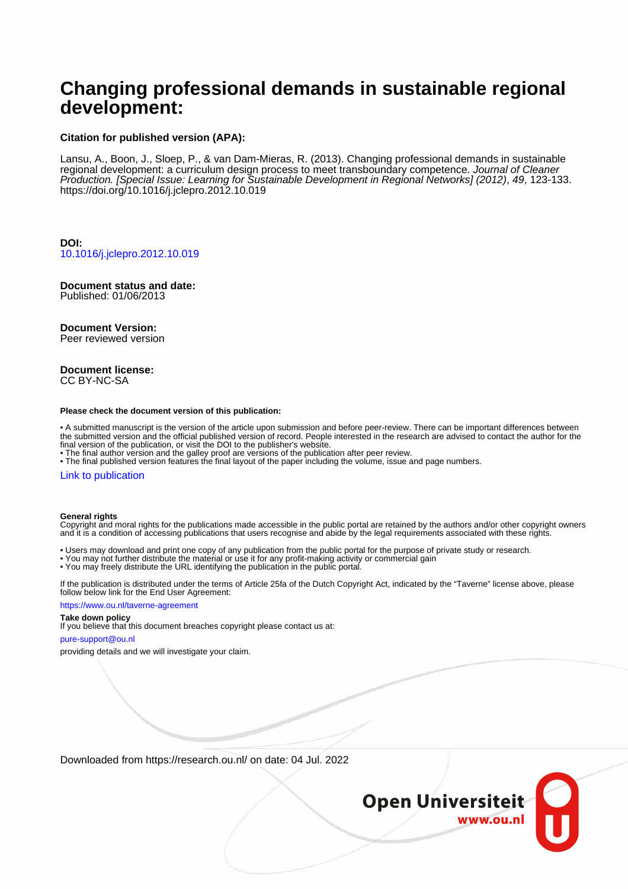# **Changing professional demands in sustainable regional development:**

#### **Citation for published version (APA):**

Lansu, A., Boon, J., Sloep, P., & van Dam-Mieras, R. (2013). Changing professional demands in sustainable regional development: a curriculum design process to meet transboundary competence. Journal of Cleaner Production. [Special Issue: Learning for Sustainable Development in Regional Networks] (2012), 49, 123-133. <https://doi.org/10.1016/j.jclepro.2012.10.019>

**DOI:** [10.1016/j.jclepro.2012.10.019](https://doi.org/10.1016/j.jclepro.2012.10.019)

#### **Document status and date:** Published: 01/06/2013

#### **Document Version:**

Peer reviewed version

#### **Document license:** CC BY-NC-SA

#### **Please check the document version of this publication:**

• A submitted manuscript is the version of the article upon submission and before peer-review. There can be important differences between the submitted version and the official published version of record. People interested in the research are advised to contact the author for the final version of the publication, or visit the DOI to the publisher's website.

• The final author version and the galley proof are versions of the publication after peer review.

• The final published version features the final layout of the paper including the volume, issue and page numbers.

#### [Link to publication](https://research.ou.nl/en/publications/88cf8c46-260f-4c85-b529-602caf417915)

#### **General rights**

Copyright and moral rights for the publications made accessible in the public portal are retained by the authors and/or other copyright owners and it is a condition of accessing publications that users recognise and abide by the legal requirements associated with these rights.

- Users may download and print one copy of any publication from the public portal for the purpose of private study or research.
- You may not further distribute the material or use it for any profit-making activity or commercial gain
- You may freely distribute the URL identifying the publication in the public portal.

If the publication is distributed under the terms of Article 25fa of the Dutch Copyright Act, indicated by the "Taverne" license above, please follow below link for the End User Agreement:

#### https://www.ou.nl/taverne-agreement

#### **Take down policy**

If you believe that this document breaches copyright please contact us at:

#### pure-support@ou.nl

providing details and we will investigate your claim.

Downloaded from https://research.ou.nl/ on date: 04 Jul. 2022

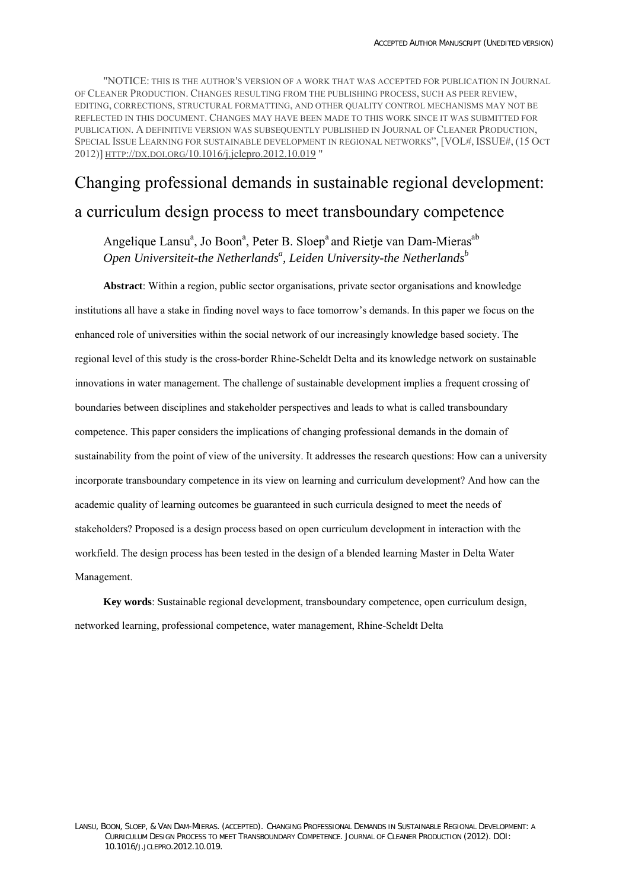"NOTICE: THIS IS THE AUTHOR'S VERSION OF A WORK THAT WAS ACCEPTED FOR PUBLICATION IN JOURNAL OF CLEANER PRODUCTION. CHANGES RESULTING FROM THE PUBLISHING PROCESS, SUCH AS PEER REVIEW, EDITING, CORRECTIONS, STRUCTURAL FORMATTING, AND OTHER QUALITY CONTROL MECHANISMS MAY NOT BE REFLECTED IN THIS DOCUMENT. CHANGES MAY HAVE BEEN MADE TO THIS WORK SINCE IT WAS SUBMITTED FOR PUBLICATION. A DEFINITIVE VERSION WAS SUBSEQUENTLY PUBLISHED IN JOURNAL OF CLEANER PRODUCTION, SPECIAL ISSUE LEARNING FOR SUSTAINABLE DEVELOPMENT IN REGIONAL NETWORKS", [VOL#, ISSUE#, (15 OCT 2012)] [HTTP://DX.DOI.ORG/10.1016/j.jclepro.2012.10.019](http://dx.doi.org/10.1016/j.jclepro.2012.10.019) "

# Changing professional demands in sustainable regional development: a curriculum design process to meet transboundary competence

Angelique Lansu<sup>a</sup>, Jo Boon<sup>a</sup>, Peter B. Sloep<sup>a</sup> and Rietje van Dam-Mieras<sup>ab</sup> Open Universiteit-the Netherlands<sup>a</sup>, Leiden University-the Netherlands<sup>b</sup>

**Abstract**: Within a region, public sector organisations, private sector organisations and knowledge institutions all have a stake in finding novel ways to face tomorrow's demands. In this paper we focus on the enhanced role of universities within the social network of our increasingly knowledge based society. The regional level of this study is the cross-border Rhine-Scheldt Delta and its knowledge network on sustainable innovations in water management. The challenge of sustainable development implies a frequent crossing of boundaries between disciplines and stakeholder perspectives and leads to what is called transboundary competence. This paper considers the implications of changing professional demands in the domain of sustainability from the point of view of the university. It addresses the research questions: How can a university incorporate transboundary competence in its view on learning and curriculum development? And how can the academic quality of learning outcomes be guaranteed in such curricula designed to meet the needs of stakeholders? Proposed is a design process based on open curriculum development in interaction with the workfield. The design process has been tested in the design of a blended learning Master in Delta Water Management.

**Key words**: Sustainable regional development, transboundary competence, open curriculum design, networked learning, professional competence, water management, Rhine-Scheldt Delta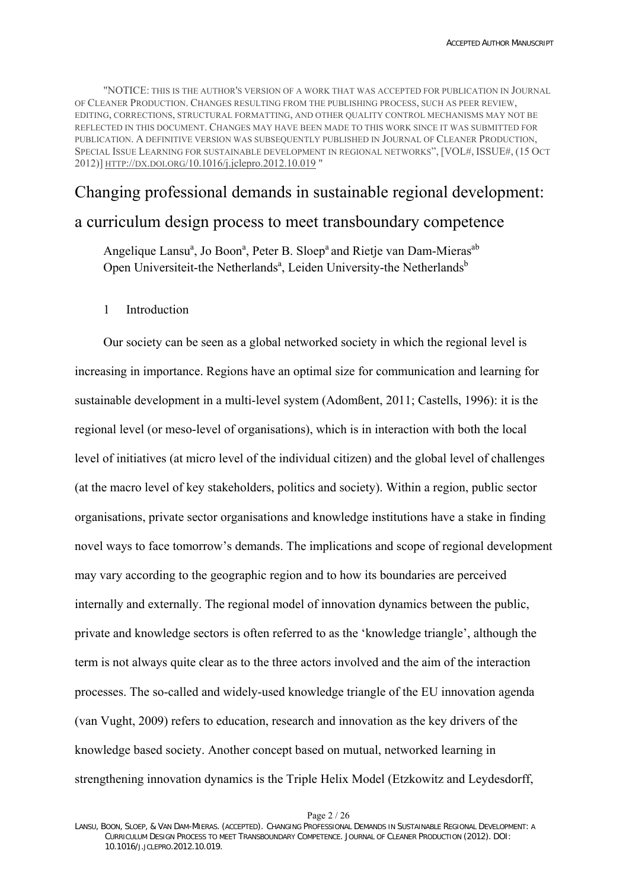"NOTICE: THIS IS THE AUTHOR'S VERSION OF A WORK THAT WAS ACCEPTED FOR PUBLICATION IN JOURNAL OF CLEANER PRODUCTION. CHANGES RESULTING FROM THE PUBLISHING PROCESS, SUCH AS PEER REVIEW, EDITING, CORRECTIONS, STRUCTURAL FORMATTING, AND OTHER QUALITY CONTROL MECHANISMS MAY NOT BE REFLECTED IN THIS DOCUMENT. CHANGES MAY HAVE BEEN MADE TO THIS WORK SINCE IT WAS SUBMITTED FOR PUBLICATION. A DEFINITIVE VERSION WAS SUBSEQUENTLY PUBLISHED IN JOURNAL OF CLEANER PRODUCTION, SPECIAL ISSUE LEARNING FOR SUSTAINABLE DEVELOPMENT IN REGIONAL NETWORKS", [VOL#, ISSUE#, (15 OCT 2012)] [HTTP://DX.DOI.ORG/10.1016/j.jclepro.2012.10.019](http://dx.doi.org/10.1016/j.jclepro.2012.10.019) "

# Changing professional demands in sustainable regional development: a curriculum design process to meet transboundary competence

Angelique Lansu<sup>a</sup>, Jo Boon<sup>a</sup>, Peter B. Sloep<sup>a</sup> and Rietje van Dam-Mieras<sup>ab</sup> Open Universiteit-the Netherlands<sup>a</sup>, Leiden University-the Netherlands<sup>b</sup>

## 1 Introduction

Our society can be seen as a global networked society in which the regional level is increasing in importance. Regions have an optimal size for communication and learning for sustainable development in a multi-level system ([Adomßent, 2011;](#page-26-0) [Castells, 1996\)](#page-25-0): it is the regional level (or meso-level of organisations), which is in interaction with both the local level of initiatives (at micro level of the individual citizen) and the global level of challenges (at the macro level of key stakeholders, politics and society). Within a region, public sector organisations, private sector organisations and knowledge institutions have a stake in finding novel ways to face tomorrow's demands. The implications and scope of regional development may vary according to the geographic region and to how its boundaries are perceived internally and externally. The regional model of innovation dynamics between the public, private and knowledge sectors is often referred to as the 'knowledge triangle', although the term is not always quite clear as to the three actors involved and the aim of the interaction processes. The so-called and widely-used knowledge triangle of the EU innovation agenda ([van Vught, 2009](#page-26-1)) refers to education, research and innovation as the key drivers of the knowledge based society. Another concept based on mutual, networked learning in strengthening innovation dynamics is the Triple Helix Model [\(Etzkowitz and Leydesdorff,](#page-25-1) 

LANSU, BOON, SLOEP, & VAN DAM-MIERAS. (ACCEPTED). CHANGING PROFESSIONAL DEMANDS IN SUSTAINABLE REGIONAL DEVELOPMENT: A CURRICULUM DESIGN PROCESS TO MEET TRANSBOUNDARY COMPETENCE. JOURNAL OF CLEANER PRODUCTION (2012). DOI: 10.1016/J.JCLEPRO.2012.10.019.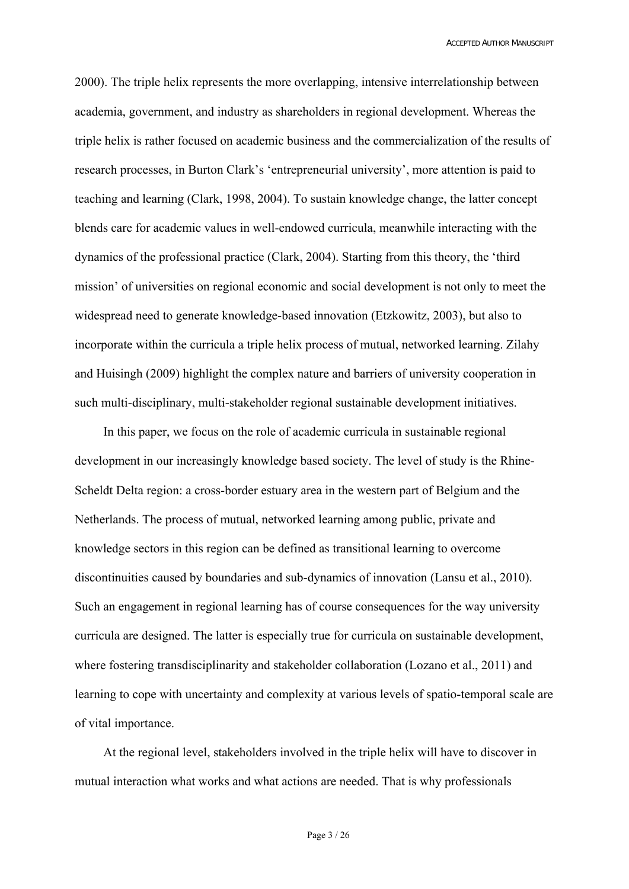[2000\)](#page-25-1). The triple helix represents the more overlapping, intensive interrelationship between academia, government, and industry as shareholders in regional development. Whereas the triple helix is rather focused on academic business and the commercialization of the results of research processes, in Burton Clark's 'entrepreneurial university', more attention is paid to teaching and learning [\(Clark, 1998,](#page-25-2) [2004\)](#page-25-3). To sustain knowledge change, the latter concept blends care for academic values in well-endowed curricula, meanwhile interacting with the dynamics of the professional practice [\(Clark, 2004\)](#page-25-3). Starting from this theory, the 'third mission' of universities on regional economic and social development is not only to meet the widespread need to generate knowledge-based innovation [\(Etzkowitz, 2003](#page-25-4)), but also to incorporate within the curricula a triple helix process of mutual, networked learning. [Zilahy](#page-26-2)  [and Huisingh \(2009](#page-26-2)) highlight the complex nature and barriers of university cooperation in such multi-disciplinary, multi-stakeholder regional sustainable development initiatives.

In this paper, we focus on the role of academic curricula in sustainable regional development in our increasingly knowledge based society. The level of study is the Rhine-Scheldt Delta region: a cross-border estuary area in the western part of Belgium and the Netherlands. The process of mutual, networked learning among public, private and knowledge sectors in this region can be defined as transitional learning to overcome discontinuities caused by boundaries and sub-dynamics of innovation [\(Lansu et al., 2010](#page-26-3)). Such an engagement in regional learning has of course consequences for the way university curricula are designed. The latter is especially true for curricula on sustainable development, where fostering transdisciplinarity and stakeholder collaboration [\(Lozano et al., 2011\)](#page-26-4) and learning to cope with uncertainty and complexity at various levels of spatio-temporal scale are of vital importance.

At the regional level, stakeholders involved in the triple helix will have to discover in mutual interaction what works and what actions are needed. That is why professionals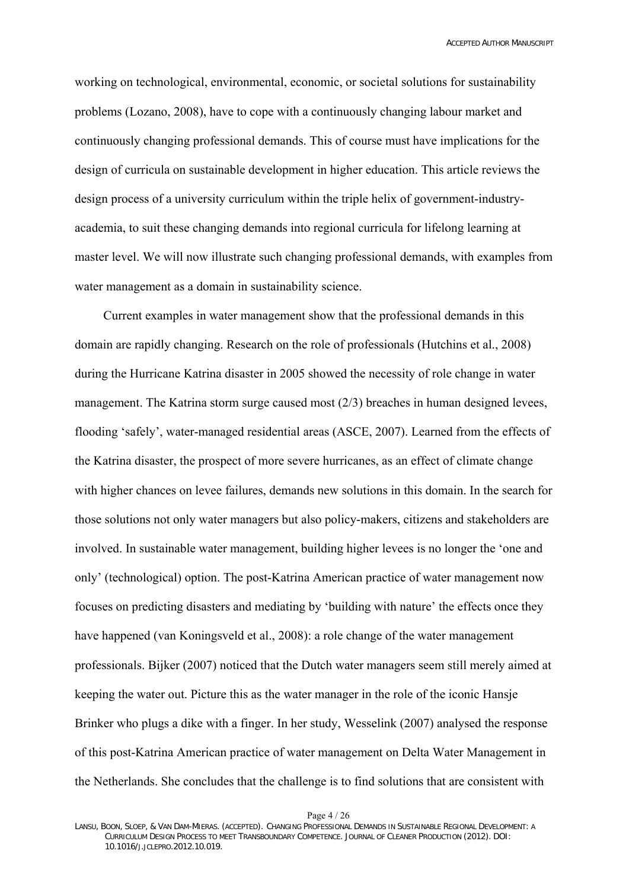working on technological, environmental, economic, or societal solutions for sustainability problems ([Lozano, 2008\)](#page-26-5), have to cope with a continuously changing labour market and continuously changing professional demands. This of course must have implications for the design of curricula on sustainable development in higher education. This article reviews the design process of a university curriculum within the triple helix of government-industryacademia, to suit these changing demands into regional curricula for lifelong learning at master level. We will now illustrate such changing professional demands, with examples from water management as a domain in sustainability science.

Current examples in water management show that the professional demands in this domain are rapidly changing. Research on the role of professionals [\(Hutchins et al., 2008\)](#page-25-5) during the Hurricane Katrina disaster in 2005 showed the necessity of role change in water management. The Katrina storm surge caused most (2/3) breaches in human designed levees, flooding 'safely', water-managed residential areas ([ASCE, 2007](#page-25-6)). Learned from the effects of the Katrina disaster, the prospect of more severe hurricanes, as an effect of climate change with higher chances on levee failures, demands new solutions in this domain. In the search for those solutions not only water managers but also policy-makers, citizens and stakeholders are involved. In sustainable water management, building higher levees is no longer the 'one and only' (technological) option. The post-Katrina American practice of water management now focuses on predicting disasters and mediating by 'building with nature' the effects once they have happened [\(van Koningsveld et al., 2008](#page-26-6)): a role change of the water management professionals. [Bijker \(2007](#page-25-7)) noticed that the Dutch water managers seem still merely aimed at keeping the water out. Picture this as the water manager in the role of the iconic Hansje Brinker who plugs a dike with a finger. In her study, [Wesselink \(2007\)](#page-26-7) analysed the response of this post-Katrina American practice of water management on Delta Water Management in the Netherlands. She concludes that the challenge is to find solutions that are consistent with

Page 4 / 26

LANSU, BOON, SLOEP, & VAN DAM-MIERAS. (ACCEPTED). CHANGING PROFESSIONAL DEMANDS IN SUSTAINABLE REGIONAL DEVELOPMENT: A CURRICULUM DESIGN PROCESS TO MEET TRANSBOUNDARY COMPETENCE. JOURNAL OF CLEANER PRODUCTION (2012). DOI: 10.1016/J.JCLEPRO.2012.10.019.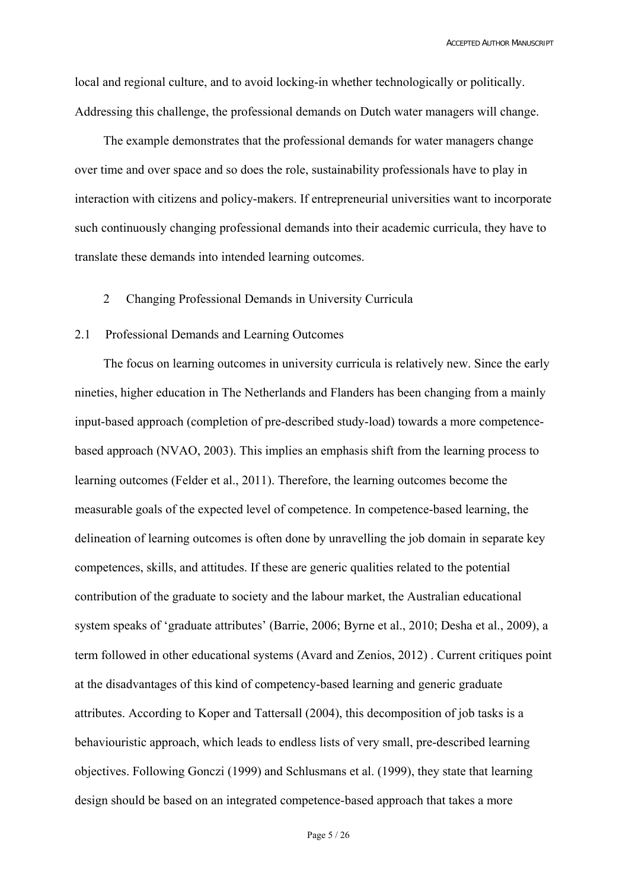local and regional culture, and to avoid locking-in whether technologically or politically. Addressing this challenge, the professional demands on Dutch water managers will change.

The example demonstrates that the professional demands for water managers change over time and over space and so does the role, sustainability professionals have to play in interaction with citizens and policy-makers. If entrepreneurial universities want to incorporate such continuously changing professional demands into their academic curricula, they have to translate these demands into intended learning outcomes.

# 2 Changing Professional Demands in University Curricula

## 2.1 Professional Demands and Learning Outcomes

The focus on learning outcomes in university curricula is relatively new. Since the early nineties, higher education in The Netherlands and Flanders has been changing from a mainly input-based approach (completion of pre-described study-load) towards a more competencebased approach [\(NVAO, 2003\)](#page-26-8). This implies an emphasis shift from the learning process to learning outcomes [\(Felder et al., 2011](#page-25-8)). Therefore, the learning outcomes become the measurable goals of the expected level of competence. In competence-based learning, the delineation of learning outcomes is often done by unravelling the job domain in separate key competences, skills, and attitudes. If these are generic qualities related to the potential contribution of the graduate to society and the labour market, the Australian educational system speaks of 'graduate attributes' [\(Barrie, 2006](#page-25-9); [Byrne et al., 2010](#page-25-10); [Desha et al., 2009\)](#page-25-11), a term followed in other educational systems ([Avard and Zenios, 2012\)](#page-25-12) . Current critiques point at the disadvantages of this kind of competency-based learning and generic graduate attributes. According to [Koper and Tattersall \(2004](#page-26-9)), this decomposition of job tasks is a behaviouristic approach, which leads to endless lists of very small, pre-described learning objectives. Following [Gonczi \(1999\)](#page-25-13) and [Schlusmans et al. \(1999](#page-26-10)), they state that learning design should be based on an integrated competence-based approach that takes a more

Page 5 / 26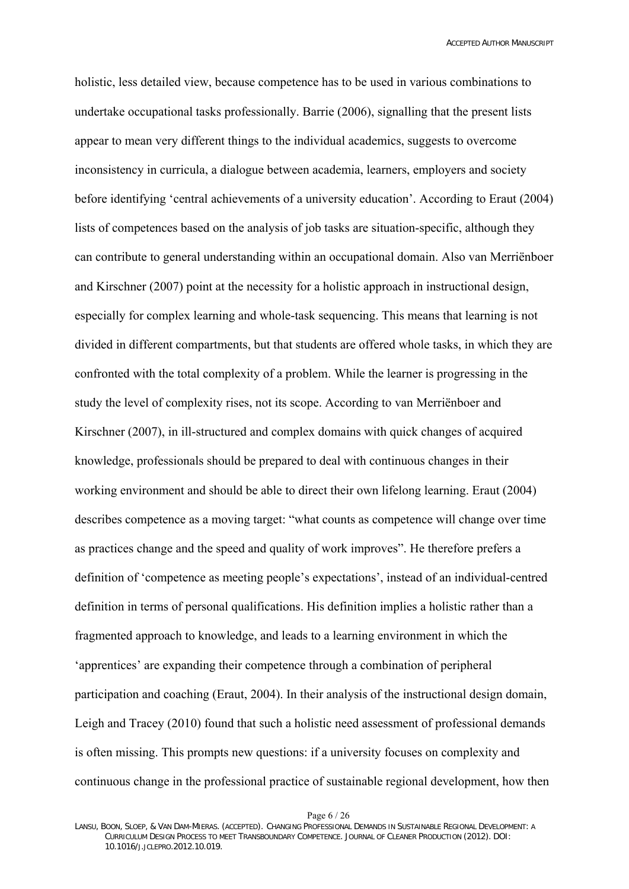holistic, less detailed view, because competence has to be used in various combinations to undertake occupational tasks professionally. [Barrie \(2006\)](#page-25-9), signalling that the present lists appear to mean very different things to the individual academics, suggests to overcome inconsistency in curricula, a dialogue between academia, learners, employers and society before identifying 'central achievements of a university education'. According to [Eraut \(2004\)](#page-25-14) lists of competences based on the analysis of job tasks are situation-specific, although they can contribute to general understanding within an occupational domain. Also [van Merriënboer](#page-26-11)  [and Kirschner \(2007\)](#page-26-11) point at the necessity for a holistic approach in instructional design, especially for complex learning and whole-task sequencing. This means that learning is not divided in different compartments, but that students are offered whole tasks, in which they are confronted with the total complexity of a problem. While the learner is progressing in the study the level of complexity rises, not its scope. According to [van Merriënboer and](#page-26-11)  [Kirschner \(2007](#page-26-11)), in ill-structured and complex domains with quick changes of acquired knowledge, professionals should be prepared to deal with continuous changes in their working environment and should be able to direct their own lifelong learning. [Eraut \(2004](#page-25-14)) describes competence as a moving target: "what counts as competence will change over time as practices change and the speed and quality of work improves". He therefore prefers a definition of 'competence as meeting people's expectations', instead of an individual-centred definition in terms of personal qualifications. His definition implies a holistic rather than a fragmented approach to knowledge, and leads to a learning environment in which the 'apprentices' are expanding their competence through a combination of peripheral participation and coaching [\(Eraut, 2004](#page-25-14)). In their analysis of the instructional design domain, [Leigh and Tracey \(2010](#page-26-12)) found that such a holistic need assessment of professional demands is often missing. This prompts new questions: if a university focuses on complexity and continuous change in the professional practice of sustainable regional development, how then

Page 6 / 26

LANSU, BOON, SLOEP, & VAN DAM-MIERAS. (ACCEPTED). CHANGING PROFESSIONAL DEMANDS IN SUSTAINABLE REGIONAL DEVELOPMENT: A CURRICULUM DESIGN PROCESS TO MEET TRANSBOUNDARY COMPETENCE. JOURNAL OF CLEANER PRODUCTION (2012). DOI: 10.1016/J.JCLEPRO.2012.10.019.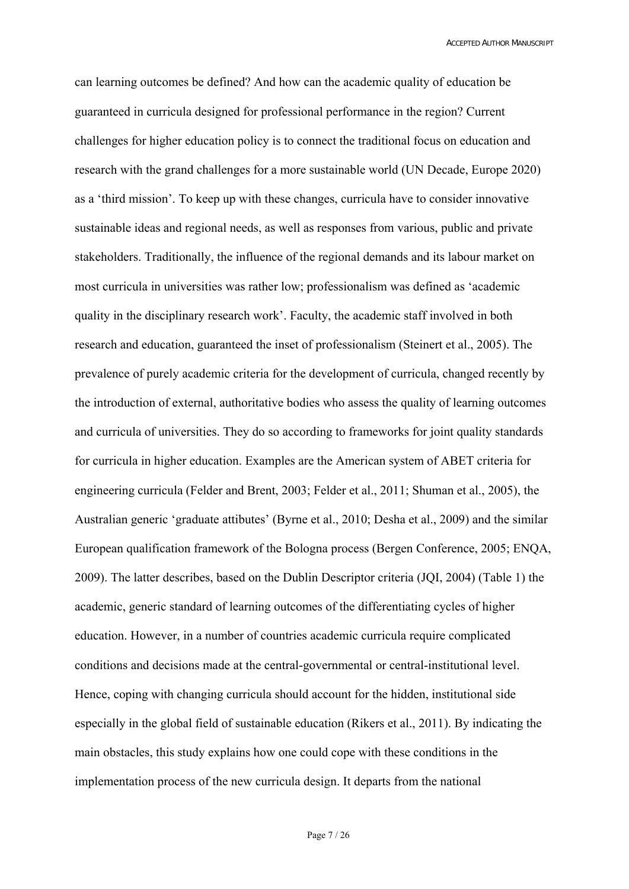can learning outcomes be defined? And how can the academic quality of education be guaranteed in curricula designed for professional performance in the region? Current challenges for higher education policy is to connect the traditional focus on education and research with the grand challenges for a more sustainable world (UN Decade, Europe 2020) as a 'third mission'. To keep up with these changes, curricula have to consider innovative sustainable ideas and regional needs, as well as responses from various, public and private stakeholders. Traditionally, the influence of the regional demands and its labour market on most curricula in universities was rather low; professionalism was defined as 'academic quality in the disciplinary research work'. Faculty, the academic staff involved in both research and education, guaranteed the inset of professionalism ([Steinert et al., 2005](#page-26-13)). The prevalence of purely academic criteria for the development of curricula, changed recently by the introduction of external, authoritative bodies who assess the quality of learning outcomes and curricula of universities. They do so according to frameworks for joint quality standards for curricula in higher education. Examples are the American system of ABET criteria for engineering curricula [\(Felder and Brent, 2003;](#page-25-15) [Felder et al., 2011;](#page-25-8) [Shuman et al., 2005\)](#page-26-14), the Australian generic 'graduate attibutes' [\(Byrne et al., 2010;](#page-25-10) [Desha et al., 2009](#page-25-11)) and the similar European qualification framework of the Bologna process [\(Bergen Conference, 2005](#page-25-16); [ENQA,](#page-25-17)  [2009\)](#page-25-17). The latter describes, based on the Dublin Descriptor criteria ([JQI, 2004](#page-25-18)) (Table 1) the academic, generic standard of learning outcomes of the differentiating cycles of higher education. However, in a number of countries academic curricula require complicated conditions and decisions made at the central-governmental or central-institutional level. Hence, coping with changing curricula should account for the hidden, institutional side especially in the global field of sustainable education ([Rikers et al., 2011](#page-26-15)). By indicating the main obstacles, this study explains how one could cope with these conditions in the implementation process of the new curricula design. It departs from the national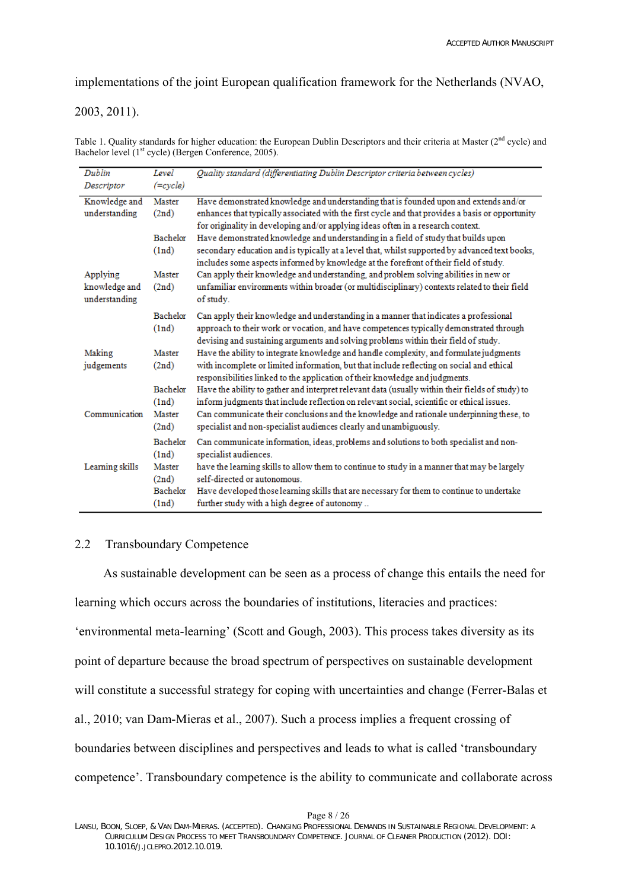implementations of the joint European qualification framework for the Netherlands [\(NVAO,](#page-26-8) 

# [2003,](#page-26-8) [2011\)](#page-26-16).

Table 1. Quality standards for higher education: the European Dublin Descriptors and their criteria at Master (2<sup>nd</sup> cycle) and Bachelor level  $(1<sup>st</sup> cycle)$  [\(Bergen Conference, 2005\)](#page-25-16).

| Dublin          | Level           | Quality standard (differentiating Dublin Descriptor criteria between cycles)                                                                                                        |
|-----------------|-----------------|-------------------------------------------------------------------------------------------------------------------------------------------------------------------------------------|
| Descriptor      | $(=cycle)$      |                                                                                                                                                                                     |
| Knowledge and   | Master          | Have demonstrated knowledge and understanding that is founded upon and extends and/or                                                                                               |
| understanding   | (2nd)           | enhances that typically associated with the first cycle and that provides a basis or opportunity                                                                                    |
|                 | Bachelor        | for originality in developing and/or applying ideas often in a research context.<br>Have demonstrated knowledge and understanding in a field of study that builds upon              |
|                 | (1nd)           | secondary education and is typically at a level that, whilst supported by advanced text books,                                                                                      |
|                 |                 | includes some aspects informed by knowledge at the forefront of their field of study.                                                                                               |
| Applying        | <b>Master</b>   | Can apply their knowledge and understanding, and problem solving abilities in new or                                                                                                |
| knowledge and   | (2nd)           | unfamiliar environments within broader (or multidisciplinary) contexts related to their field                                                                                       |
| understanding   |                 | of study.                                                                                                                                                                           |
|                 | Bachelor        | Can apply their knowledge and understanding in a manner that indicates a professional                                                                                               |
|                 | (1nd)           | approach to their work or vocation, and have competences typically demonstrated through                                                                                             |
| Making          | <b>Master</b>   | devising and sustaining arguments and solving problems within their field of study.                                                                                                 |
| judgements      | (2nd)           | Have the ability to integrate knowledge and handle complexity, and formulate judgments<br>with incomplete or limited information, but that include reflecting on social and ethical |
|                 |                 | responsibilities linked to the application of their knowledge and judgments.                                                                                                        |
|                 | Bachelor        | Have the ability to gather and interpret relevant data (usually within their fields of study) to                                                                                    |
|                 | (1nd)           | inform judgments that include reflection on relevant social, scientific or ethical issues.                                                                                          |
| Communication   | Master          | Can communicate their conclusions and the knowledge and rationale underpinning these, to                                                                                            |
|                 | (2nd)           | specialist and non-specialist audiences clearly and unambiguously.                                                                                                                  |
|                 | Bachelor        | Can communicate information, ideas, problems and solutions to both specialist and non-                                                                                              |
| Learning skills | (1nd)<br>Master | specialist audiences.<br>have the learning skills to allow them to continue to study in a manner that may be largely                                                                |
|                 | (2nd)           | self-directed or autonomous.                                                                                                                                                        |
|                 | Bachelor        | Have developed those learning skills that are necessary for them to continue to undertake                                                                                           |
|                 | (1nd)           | further study with a high degree of autonomy                                                                                                                                        |

# 2.2 Transboundary Competence

As sustainable development can be seen as a process of change this entails the need for learning which occurs across the boundaries of institutions, literacies and practices: 'environmental meta-learning' ([Scott and Gough, 2003](#page-26-17)). This process takes diversity as its point of departure because the broad spectrum of perspectives on sustainable development will constitute a successful strategy for coping with uncertainties and change [\(Ferrer-Balas et](#page-25-19)  [al., 2010;](#page-25-19) [van Dam-Mieras et al., 2007](#page-26-18)). Such a process implies a frequent crossing of boundaries between disciplines and perspectives and leads to what is called 'transboundary competence'. Transboundary competence is the ability to communicate and collaborate across

Page 8 / 26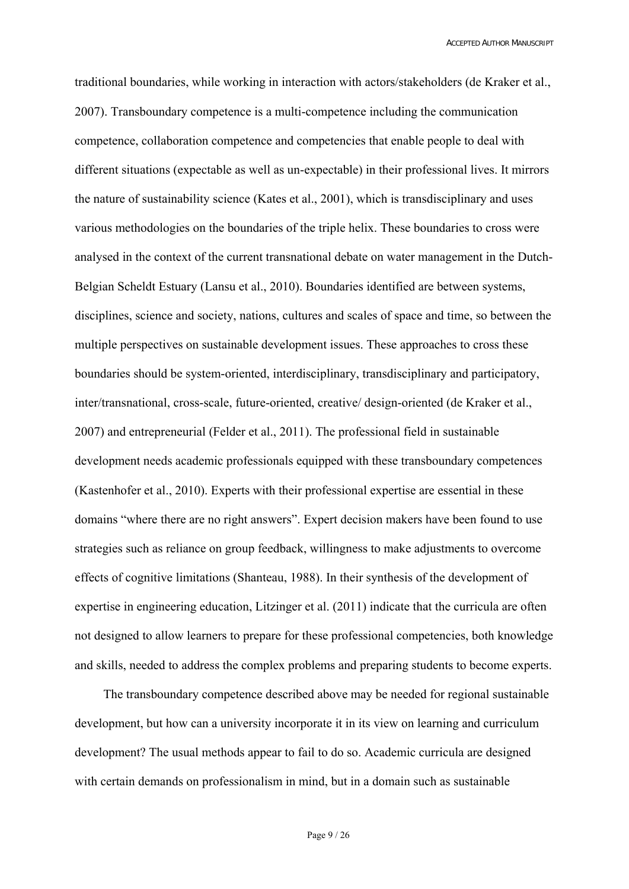traditional boundaries, while working in interaction with actors/stakeholders [\(de Kraker et al.,](#page-25-20)  [2007\)](#page-25-20). Transboundary competence is a multi-competence including the communication competence, collaboration competence and competencies that enable people to deal with different situations (expectable as well as un-expectable) in their professional lives. It mirrors the nature of sustainability science ([Kates et al., 2001](#page-25-21)), which is transdisciplinary and uses various methodologies on the boundaries of the triple helix. These boundaries to cross were analysed in the context of the current transnational debate on water management in the Dutch-Belgian Scheldt Estuary ([Lansu et al., 2010](#page-26-3)). Boundaries identified are between systems, disciplines, science and society, nations, cultures and scales of space and time, so between the multiple perspectives on sustainable development issues. These approaches to cross these boundaries should be system-oriented, interdisciplinary, transdisciplinary and participatory, inter/transnational, cross-scale, future-oriented, creative/ design-oriented ([de Kraker et al.,](#page-25-20)  [2007\)](#page-25-20) and entrepreneurial ([Felder et al., 2011\)](#page-25-8). The professional field in sustainable development needs academic professionals equipped with these transboundary competences ([Kastenhofer et al., 2010\)](#page-25-22). Experts with their professional expertise are essential in these domains "where there are no right answers". Expert decision makers have been found to use strategies such as reliance on group feedback, willingness to make adjustments to overcome effects of cognitive limitations ([Shanteau, 1988\)](#page-26-19). In their synthesis of the development of expertise in engineering education, [Litzinger et al. \(2011](#page-26-20)) indicate that the curricula are often not designed to allow learners to prepare for these professional competencies, both knowledge and skills, needed to address the complex problems and preparing students to become experts.

The transboundary competence described above may be needed for regional sustainable development, but how can a university incorporate it in its view on learning and curriculum development? The usual methods appear to fail to do so. Academic curricula are designed with certain demands on professionalism in mind, but in a domain such as sustainable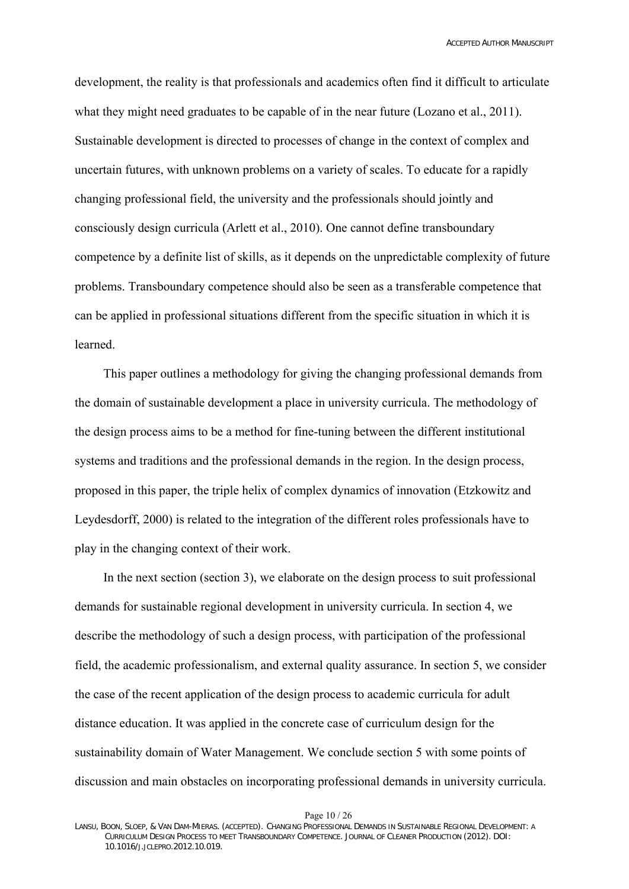development, the reality is that professionals and academics often find it difficult to articulate what they might need graduates to be capable of in the near future [\(Lozano et al., 2011](#page-26-4)). Sustainable development is directed to processes of change in the context of complex and uncertain futures, with unknown problems on a variety of scales. To educate for a rapidly changing professional field, the university and the professionals should jointly and consciously design curricula [\(Arlett et al., 2010\)](#page-25-23). One cannot define transboundary competence by a definite list of skills, as it depends on the unpredictable complexity of future problems. Transboundary competence should also be seen as a transferable competence that can be applied in professional situations different from the specific situation in which it is learned.

This paper outlines a methodology for giving the changing professional demands from the domain of sustainable development a place in university curricula. The methodology of the design process aims to be a method for fine-tuning between the different institutional systems and traditions and the professional demands in the region. In the design process, proposed in this paper, the triple helix of complex dynamics of innovation ([Etzkowitz and](#page-25-1)  [Leydesdorff, 2000](#page-25-1)) is related to the integration of the different roles professionals have to play in the changing context of their work.

In the next section (section 3), we elaborate on the design process to suit professional demands for sustainable regional development in university curricula. In section 4, we describe the methodology of such a design process, with participation of the professional field, the academic professionalism, and external quality assurance. In section 5, we consider the case of the recent application of the design process to academic curricula for adult distance education. It was applied in the concrete case of curriculum design for the sustainability domain of Water Management. We conclude section 5 with some points of discussion and main obstacles on incorporating professional demands in university curricula.

Page 10 / 26

LANSU, BOON, SLOEP, & VAN DAM-MIERAS. (ACCEPTED). CHANGING PROFESSIONAL DEMANDS IN SUSTAINABLE REGIONAL DEVELOPMENT: A CURRICULUM DESIGN PROCESS TO MEET TRANSBOUNDARY COMPETENCE. JOURNAL OF CLEANER PRODUCTION (2012). DOI: 10.1016/J.JCLEPRO.2012.10.019.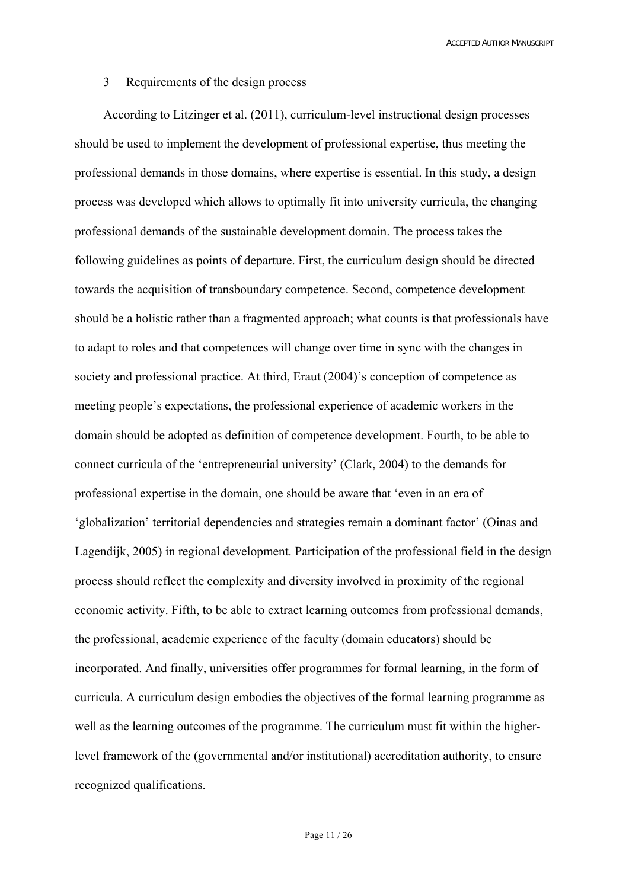### 3 Requirements of the design process

According to [Litzinger et al. \(2011](#page-26-20)), curriculum-level instructional design processes should be used to implement the development of professional expertise, thus meeting the professional demands in those domains, where expertise is essential. In this study, a design process was developed which allows to optimally fit into university curricula, the changing professional demands of the sustainable development domain. The process takes the following guidelines as points of departure. First, the curriculum design should be directed towards the acquisition of transboundary competence. Second, competence development should be a holistic rather than a fragmented approach; what counts is that professionals have to adapt to roles and that competences will change over time in sync with the changes in society and professional practice. At third, [Eraut \(2004\)](#page-25-14)'s conception of competence as meeting people's expectations, the professional experience of academic workers in the domain should be adopted as definition of competence development. Fourth, to be able to connect curricula of the 'entrepreneurial university' [\(Clark, 2004\)](#page-25-3) to the demands for professional expertise in the domain, one should be aware that 'even in an era of 'globalization' territorial dependencies and strategies remain a dominant factor' [\(Oinas and](#page-26-21)  [Lagendijk, 2005\)](#page-26-21) in regional development. Participation of the professional field in the design process should reflect the complexity and diversity involved in proximity of the regional economic activity. Fifth, to be able to extract learning outcomes from professional demands, the professional, academic experience of the faculty (domain educators) should be incorporated. And finally, universities offer programmes for formal learning, in the form of curricula. A curriculum design embodies the objectives of the formal learning programme as well as the learning outcomes of the programme. The curriculum must fit within the higherlevel framework of the (governmental and/or institutional) accreditation authority, to ensure recognized qualifications.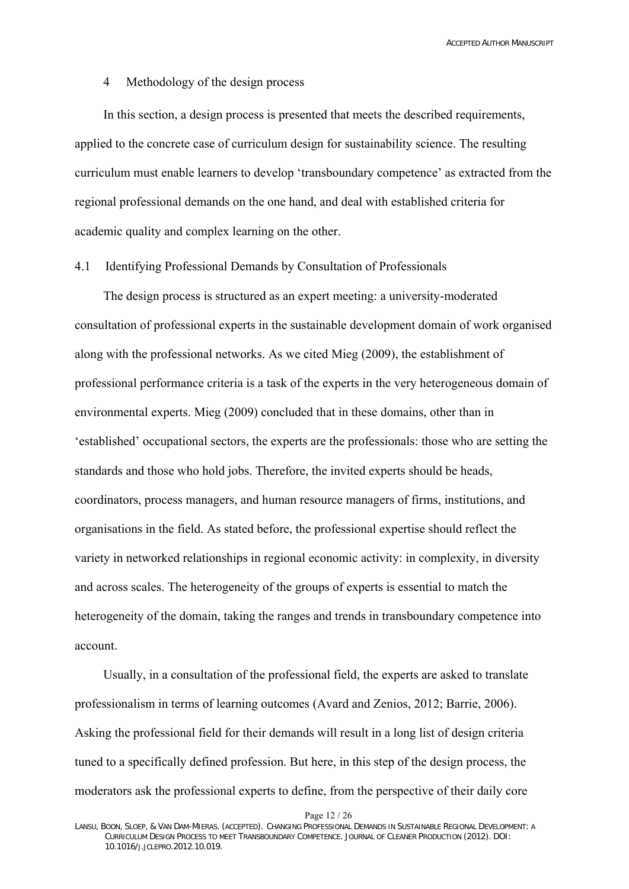### 4 Methodology of the design process

In this section, a design process is presented that meets the described requirements, applied to the concrete case of curriculum design for sustainability science. The resulting curriculum must enable learners to develop 'transboundary competence' as extracted from the regional professional demands on the one hand, and deal with established criteria for academic quality and complex learning on the other.

## 4.1 Identifying Professional Demands by Consultation of Professionals

The design process is structured as an expert meeting: a university-moderated consultation of professional experts in the sustainable development domain of work organised along with the professional networks. As we cited [Mieg \(2009](#page-26-22)), the establishment of professional performance criteria is a task of the experts in the very heterogeneous domain of environmental experts. [Mieg \(2009](#page-26-22)) concluded that in these domains, other than in 'established' occupational sectors, the experts are the professionals: those who are setting the standards and those who hold jobs. Therefore, the invited experts should be heads, coordinators, process managers, and human resource managers of firms, institutions, and organisations in the field. As stated before, the professional expertise should reflect the variety in networked relationships in regional economic activity: in complexity, in diversity and across scales. The heterogeneity of the groups of experts is essential to match the heterogeneity of the domain, taking the ranges and trends in transboundary competence into account.

Usually, in a consultation of the professional field, the experts are asked to translate professionalism in terms of learning outcomes [\(Avard and Zenios, 2012](#page-25-12); [Barrie, 2006\)](#page-25-9). Asking the professional field for their demands will result in a long list of design criteria tuned to a specifically defined profession. But here, in this step of the design process, the moderators ask the professional experts to define, from the perspective of their daily core

Page 12 / 26

LANSU, BOON, SLOEP, & VAN DAM-MIERAS. (ACCEPTED). CHANGING PROFESSIONAL DEMANDS IN SUSTAINABLE REGIONAL DEVELOPMENT: A CURRICULUM DESIGN PROCESS TO MEET TRANSBOUNDARY COMPETENCE. JOURNAL OF CLEANER PRODUCTION (2012). DOI: 10.1016/J.JCLEPRO.2012.10.019.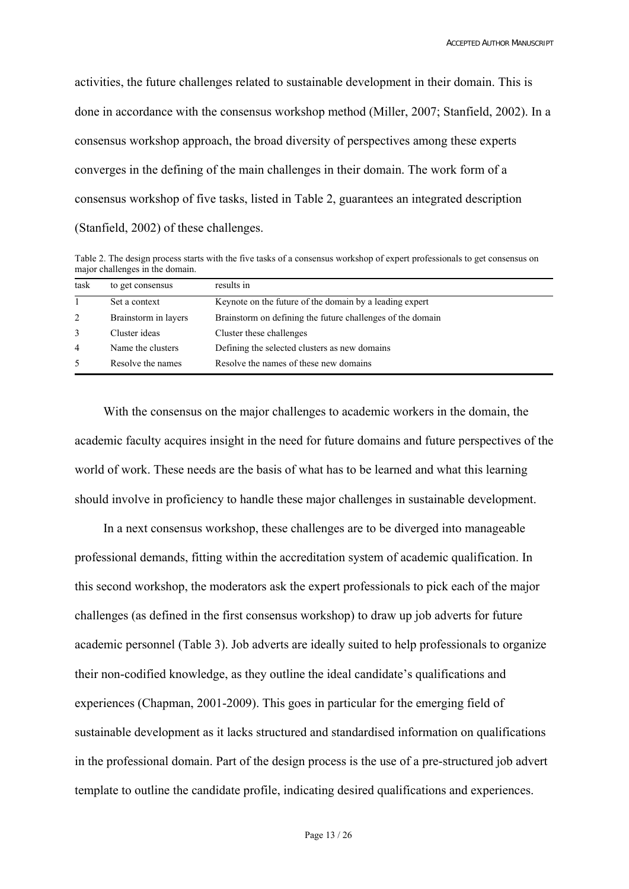activities, the future challenges related to sustainable development in their domain. This is done in accordance with the consensus workshop method [\(Miller, 2007;](#page-26-23) [Stanfield, 2002](#page-26-24)). In a consensus workshop approach, the broad diversity of perspectives among these experts converges in the defining of the main challenges in their domain. The work form of a consensus workshop of five tasks, listed in Table 2, guarantees an integrated description ([Stanfield, 2002](#page-26-24)) of these challenges.

Table 2. The design process starts with the five tasks of a consensus workshop of expert professionals to get consensus on major challenges in the domain.

| task | to get consensus     | results in                                                 |
|------|----------------------|------------------------------------------------------------|
|      | Set a context        | Keynote on the future of the domain by a leading expert    |
| 2    | Brainstorm in layers | Brainstorm on defining the future challenges of the domain |
| 3    | Cluster ideas        | Cluster these challenges                                   |
| 4    | Name the clusters    | Defining the selected clusters as new domains              |
| 5    | Resolve the names    | Resolve the names of these new domains                     |

With the consensus on the major challenges to academic workers in the domain, the academic faculty acquires insight in the need for future domains and future perspectives of the world of work. These needs are the basis of what has to be learned and what this learning should involve in proficiency to handle these major challenges in sustainable development.

In a next consensus workshop, these challenges are to be diverged into manageable professional demands, fitting within the accreditation system of academic qualification. In this second workshop, the moderators ask the expert professionals to pick each of the major challenges (as defined in the first consensus workshop) to draw up job adverts for future academic personnel (Table 3). Job adverts are ideally suited to help professionals to organize their non-codified knowledge, as they outline the ideal candidate's qualifications and experiences ([Chapman, 2001-2009\)](#page-25-24). This goes in particular for the emerging field of sustainable development as it lacks structured and standardised information on qualifications in the professional domain. Part of the design process is the use of a pre-structured job advert template to outline the candidate profile, indicating desired qualifications and experiences.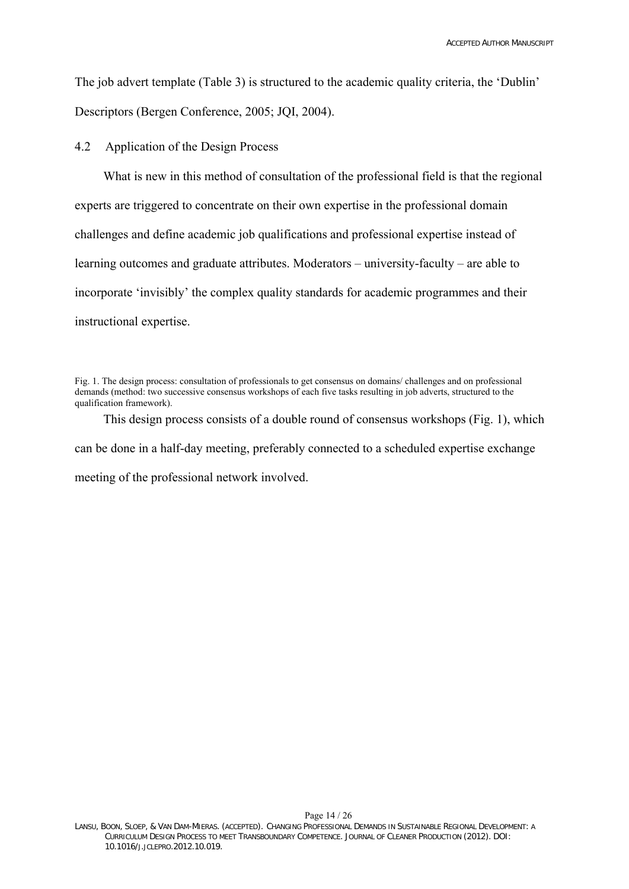The job advert template (Table 3) is structured to the academic quality criteria, the 'Dublin' Descriptors [\(Bergen Conference, 2005](#page-25-16); [JQI, 2004\)](#page-25-18).

4.2 Application of the Design Process

What is new in this method of consultation of the professional field is that the regional experts are triggered to concentrate on their own expertise in the professional domain challenges and define academic job qualifications and professional expertise instead of learning outcomes and graduate attributes. Moderators – university-faculty – are able to incorporate 'invisibly' the complex quality standards for academic programmes and their instructional expertise.

This design process consists of a double round of consensus workshops (Fig. 1), which can be done in a half-day meeting, preferably connected to a scheduled expertise exchange meeting of the professional network involved.

Fig. 1. The design process: consultation of professionals to get consensus on domains/ challenges and on professional demands (method: two successive consensus workshops of each five tasks resulting in job adverts, structured to the qualification framework).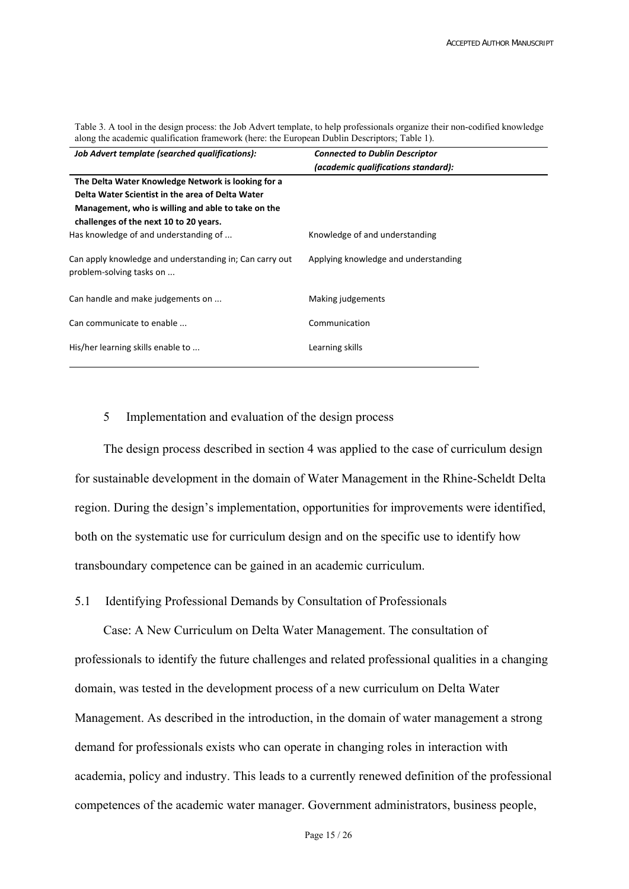Table 3. A tool in the design process: the Job Advert template, to help professionals organize their non-codified knowledge along the academic qualification framework (here: the European Dublin Descriptors; Table 1).

| Job Advert template (searched qualifications):                                                                                                                                                         | <b>Connected to Dublin Descriptor</b><br>(academic qualifications standard): |
|--------------------------------------------------------------------------------------------------------------------------------------------------------------------------------------------------------|------------------------------------------------------------------------------|
| The Delta Water Knowledge Network is looking for a<br>Delta Water Scientist in the area of Delta Water<br>Management, who is willing and able to take on the<br>challenges of the next 10 to 20 years. |                                                                              |
| Has knowledge of and understanding of                                                                                                                                                                  | Knowledge of and understanding                                               |
| Can apply knowledge and understanding in; Can carry out<br>problem-solving tasks on                                                                                                                    | Applying knowledge and understanding                                         |
| Can handle and make judgements on                                                                                                                                                                      | Making judgements                                                            |
| Can communicate to enable                                                                                                                                                                              | Communication                                                                |
| His/her learning skills enable to                                                                                                                                                                      | Learning skills                                                              |

### 5 Implementation and evaluation of the design process

The design process described in section 4 was applied to the case of curriculum design for sustainable development in the domain of Water Management in the Rhine-Scheldt Delta region. During the design's implementation, opportunities for improvements were identified, both on the systematic use for curriculum design and on the specific use to identify how transboundary competence can be gained in an academic curriculum.

### 5.1 Identifying Professional Demands by Consultation of Professionals

Case: A New Curriculum on Delta Water Management. The consultation of professionals to identify the future challenges and related professional qualities in a changing domain, was tested in the development process of a new curriculum on Delta Water Management. As described in the introduction, in the domain of water management a strong demand for professionals exists who can operate in changing roles in interaction with academia, policy and industry. This leads to a currently renewed definition of the professional competences of the academic water manager. Government administrators, business people,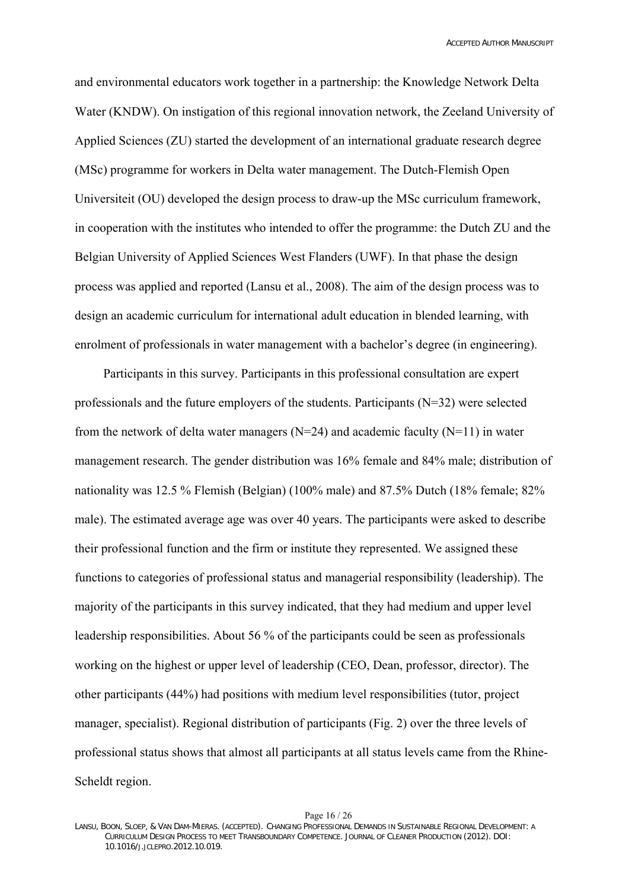and environmental educators work together in a partnership: the Knowledge Network Delta Water (KNDW). On instigation of this regional innovation network, the Zeeland University of Applied Sciences (ZU) started the development of an international graduate research degree (MSc) programme for workers in Delta water management. The Dutch-Flemish Open Universiteit (OU) developed the design process to draw-up the MSc curriculum framework, in cooperation with the institutes who intended to offer the programme: the Dutch ZU and the Belgian University of Applied Sciences West Flanders (UWF). In that phase the design process was applied and reported [\(Lansu et al., 2008\)](#page-26-25). The aim of the design process was to design an academic curriculum for international adult education in blended learning, with enrolment of professionals in water management with a bachelor's degree (in engineering).

Participants in this survey. Participants in this professional consultation are expert professionals and the future employers of the students. Participants  $(N=32)$  were selected from the network of delta water managers ( $N=24$ ) and academic faculty ( $N=11$ ) in water management research. The gender distribution was 16% female and 84% male; distribution of nationality was 12.5 % Flemish (Belgian) (100% male) and 87.5% Dutch (18% female; 82% male). The estimated average age was over 40 years. The participants were asked to describe their professional function and the firm or institute they represented. We assigned these functions to categories of professional status and managerial responsibility (leadership). The majority of the participants in this survey indicated, that they had medium and upper level leadership responsibilities. About 56 % of the participants could be seen as professionals working on the highest or upper level of leadership (CEO, Dean, professor, director). The other participants (44%) had positions with medium level responsibilities (tutor, project manager, specialist). Regional distribution of participants (Fig. 2) over the three levels of professional status shows that almost all participants at all status levels came from the Rhine-Scheldt region.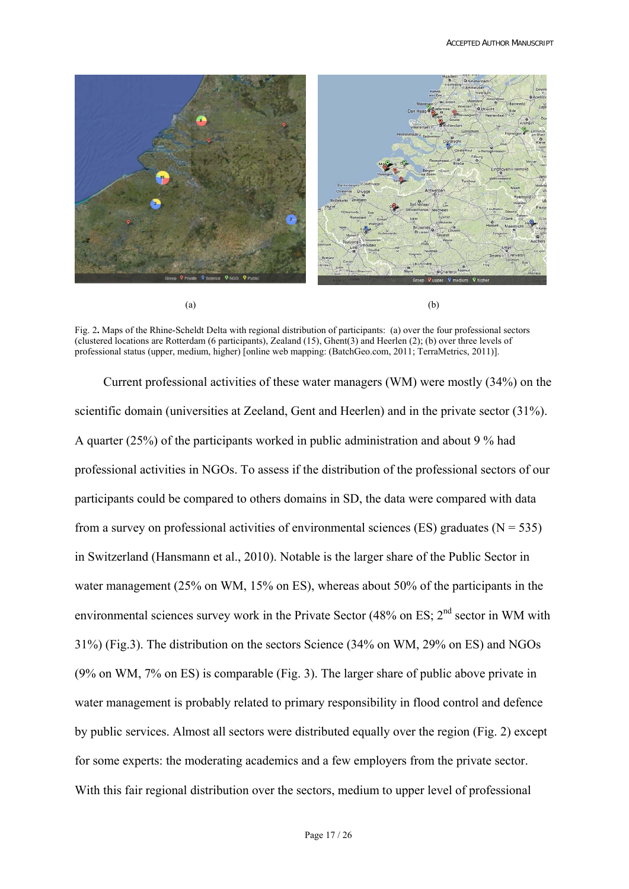

Fig. 2**.** Maps of the Rhine-Scheldt Delta with regional distribution of participants: (a) over the four professional sectors (clustered locations are Rotterdam (6 participants), Zealand (15), Ghent(3) and Heerlen (2); (b) over three levels of professional status (upper, medium, higher) [online web mapping: [\(BatchGeo.com, 2011;](#page-25-25) [TerraMetrics, 2011\)](#page-26-26)].

Current professional activities of these water managers (WM) were mostly (34%) on the scientific domain (universities at Zeeland, Gent and Heerlen) and in the private sector (31%). A quarter (25%) of the participants worked in public administration and about 9 % had professional activities in NGOs. To assess if the distribution of the professional sectors of our participants could be compared to others domains in SD, the data were compared with data from a survey on professional activities of environmental sciences (ES) graduates ( $N = 535$ ) in Switzerland ([Hansmann et al., 2010](#page-25-26)). Notable is the larger share of the Public Sector in water management (25% on WM, 15% on ES), whereas about 50% of the participants in the environmental sciences survey work in the Private Sector (48% on ES;  $2<sup>nd</sup>$  sector in WM with 31%) (Fig.3). The distribution on the sectors Science (34% on WM, 29% on ES) and NGOs (9% on WM, 7% on ES) is comparable (Fig. 3). The larger share of public above private in water management is probably related to primary responsibility in flood control and defence by public services. Almost all sectors were distributed equally over the region (Fig. 2) except for some experts: the moderating academics and a few employers from the private sector. With this fair regional distribution over the sectors, medium to upper level of professional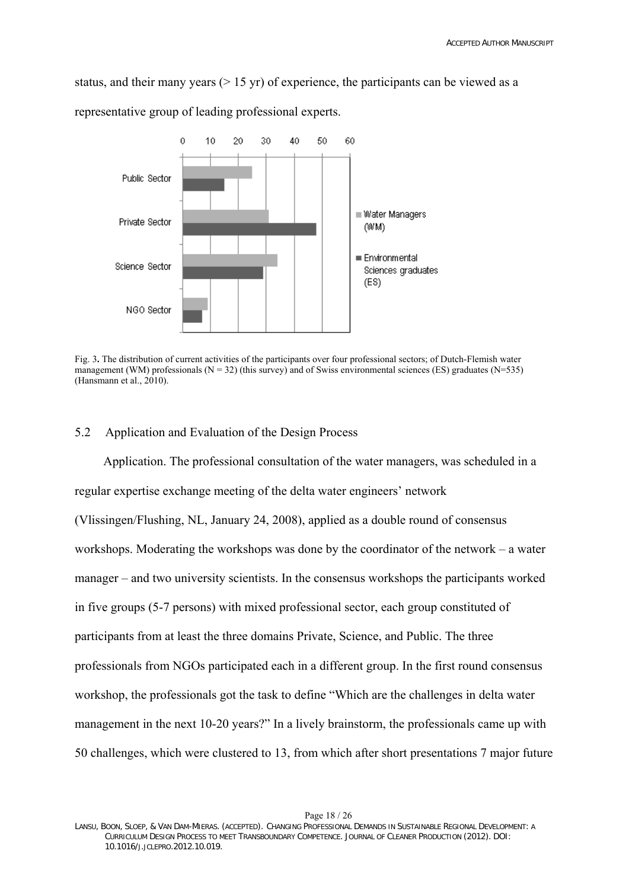status, and their many years  $(> 15 \text{ yr})$  of experience, the participants can be viewed as a

representative group of leading professional experts.



Fig. 3**.** The distribution of current activities of the participants over four professional sectors; of Dutch-Flemish water management (WM) professionals ( $N = 32$ ) (this survey) and of Swiss environmental sciences (ES) graduates ( $N=535$ ) ([Hansmann et al., 2010\)](#page-25-26).

## 5.2 Application and Evaluation of the Design Process

Application. The professional consultation of the water managers, was scheduled in a regular expertise exchange meeting of the delta water engineers' network (Vlissingen/Flushing, NL, January 24, 2008), applied as a double round of consensus workshops. Moderating the workshops was done by the coordinator of the network – a water manager – and two university scientists. In the consensus workshops the participants worked in five groups (5-7 persons) with mixed professional sector, each group constituted of participants from at least the three domains Private, Science, and Public. The three professionals from NGOs participated each in a different group. In the first round consensus workshop, the professionals got the task to define "Which are the challenges in delta water management in the next 10-20 years?" In a lively brainstorm, the professionals came up with 50 challenges, which were clustered to 13, from which after short presentations 7 major future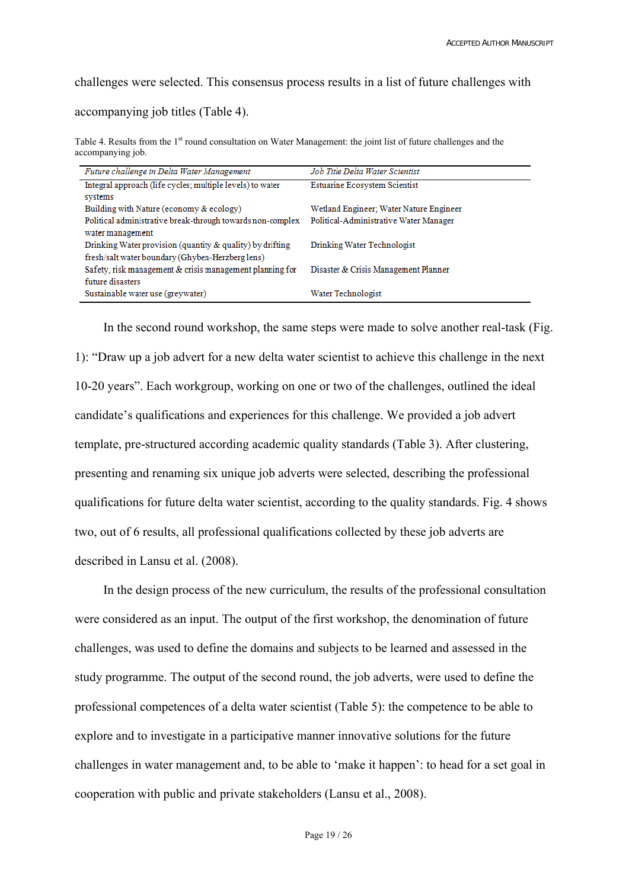challenges were selected. This consensus process results in a list of future challenges with

accompanying job titles (Table 4).

Table 4. Results from the 1<sup>st</sup> round consultation on Water Management: the joint list of future challenges and the accompanying job.

| Future challenge in Delta Water Management                 | Job Title Delta Water Scientist         |
|------------------------------------------------------------|-----------------------------------------|
| Integral approach (life cycles; multiple levels) to water  | Estuarine Ecosystem Scientist           |
| systems                                                    |                                         |
| Building with Nature (economy & ecology)                   | Wetland Engineer; Water Nature Engineer |
| Political administrative break-through towards non-complex | Political-Administrative Water Manager  |
| water management                                           |                                         |
| Drinking Water provision (quantity & quality) by drifting  | Drinking Water Technologist             |
| fresh/salt water boundary (Ghyben-Herzberg lens)           |                                         |
| Safety, risk management & crisis management planning for   | Disaster & Crisis Management Planner    |
| future disasters                                           |                                         |
| Sustainable water use (greywater)                          | Water Technologist                      |

In the second round workshop, the same steps were made to solve another real-task (Fig. 1): "Draw up a job advert for a new delta water scientist to achieve this challenge in the next 10-20 years". Each workgroup, working on one or two of the challenges, outlined the ideal candidate's qualifications and experiences for this challenge. We provided a job advert template, pre-structured according academic quality standards (Table 3). After clustering, presenting and renaming six unique job adverts were selected, describing the professional qualifications for future delta water scientist, according to the quality standards. Fig. 4 shows two, out of 6 results, all professional qualifications collected by these job adverts are described in [Lansu et al. \(2008\)](#page-26-25).

In the design process of the new curriculum, the results of the professional consultation were considered as an input. The output of the first workshop, the denomination of future challenges, was used to define the domains and subjects to be learned and assessed in the study programme. The output of the second round, the job adverts, were used to define the professional competences of a delta water scientist (Table 5): the competence to be able to explore and to investigate in a participative manner innovative solutions for the future challenges in water management and, to be able to 'make it happen': to head for a set goal in cooperation with public and private stakeholders [\(Lansu et al., 2008](#page-26-25)).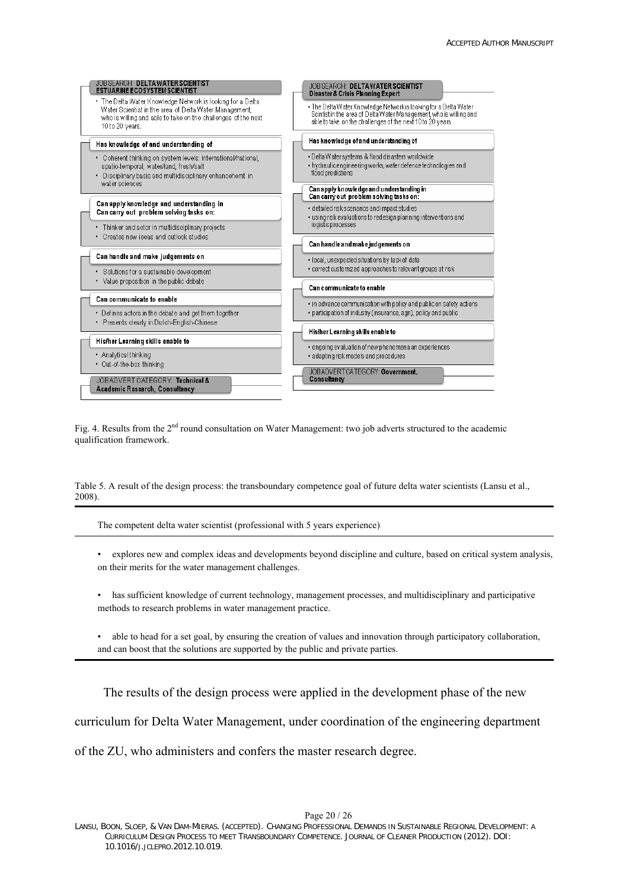

Fig. 4. Results from the 2<sup>nd</sup> round consultation on Water Management: two job adverts structured to the academic qualification framework.

Table 5. A result of the design process: the transboundary competence goal of future delta water scientists ([Lansu et al.,](#page-26-25)  [2008\)](#page-26-25).

The competent delta water scientist (professional with 5 years experience)

• explores new and complex ideas and developments beyond discipline and culture, based on critical system analysis, on their merits for the water management challenges.

has sufficient knowledge of current technology, management processes, and multidisciplinary and participative methods to research problems in water management practice.

• able to head for a set goal, by ensuring the creation of values and innovation through participatory collaboration, and can boost that the solutions are supported by the public and private parties.

The results of the design process were applied in the development phase of the new

curriculum for Delta Water Management, under coordination of the engineering department

of the ZU, who administers and confers the master research degree.

LANSU, BOON, SLOEP, & VAN DAM-MIERAS. (ACCEPTED). CHANGING PROFESSIONAL DEMANDS IN SUSTAINABLE REGIONAL DEVELOPMENT: A CURRICULUM DESIGN PROCESS TO MEET TRANSBOUNDARY COMPETENCE. JOURNAL OF CLEANER PRODUCTION (2012). DOI: 10.1016/J.JCLEPRO.2012.10.019.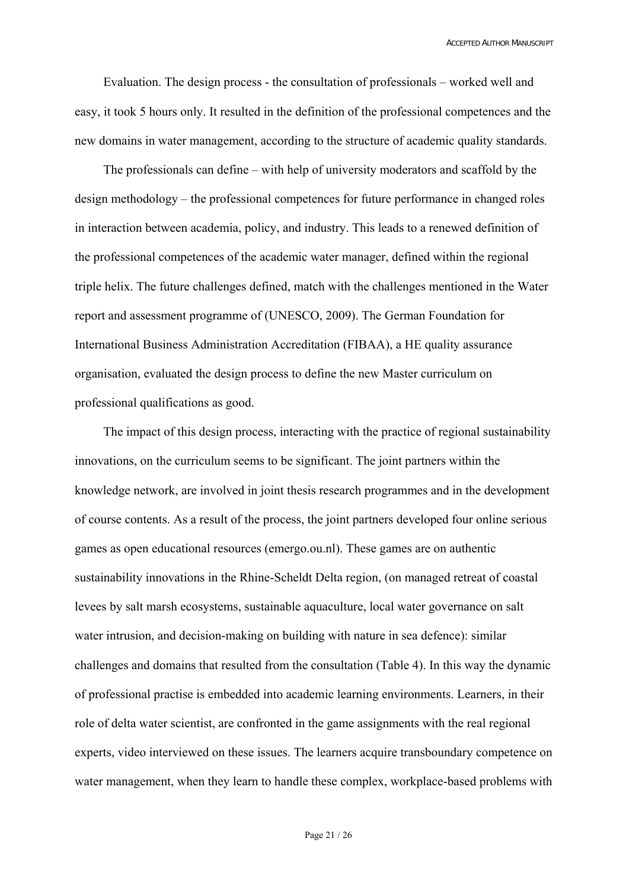Evaluation. The design process - the consultation of professionals – worked well and easy, it took 5 hours only. It resulted in the definition of the professional competences and the new domains in water management, according to the structure of academic quality standards.

The professionals can define – with help of university moderators and scaffold by the design methodology – the professional competences for future performance in changed roles in interaction between academia, policy, and industry. This leads to a renewed definition of the professional competences of the academic water manager, defined within the regional triple helix. The future challenges defined, match with the challenges mentioned in the Water report and assessment programme of ([UNESCO, 2009\)](#page-26-27). The German Foundation for International Business Administration Accreditation (FIBAA), a HE quality assurance organisation, evaluated the design process to define the new Master curriculum on professional qualifications as good.

The impact of this design process, interacting with the practice of regional sustainability innovations, on the curriculum seems to be significant. The joint partners within the knowledge network, are involved in joint thesis research programmes and in the development of course contents. As a result of the process, the joint partners developed four online serious games as open educational resources (emergo.ou.nl). These games are on authentic sustainability innovations in the Rhine-Scheldt Delta region, (on managed retreat of coastal levees by salt marsh ecosystems, sustainable aquaculture, local water governance on salt water intrusion, and decision-making on building with nature in sea defence): similar challenges and domains that resulted from the consultation (Table 4). In this way the dynamic of professional practise is embedded into academic learning environments. Learners, in their role of delta water scientist, are confronted in the game assignments with the real regional experts, video interviewed on these issues. The learners acquire transboundary competence on water management, when they learn to handle these complex, workplace-based problems with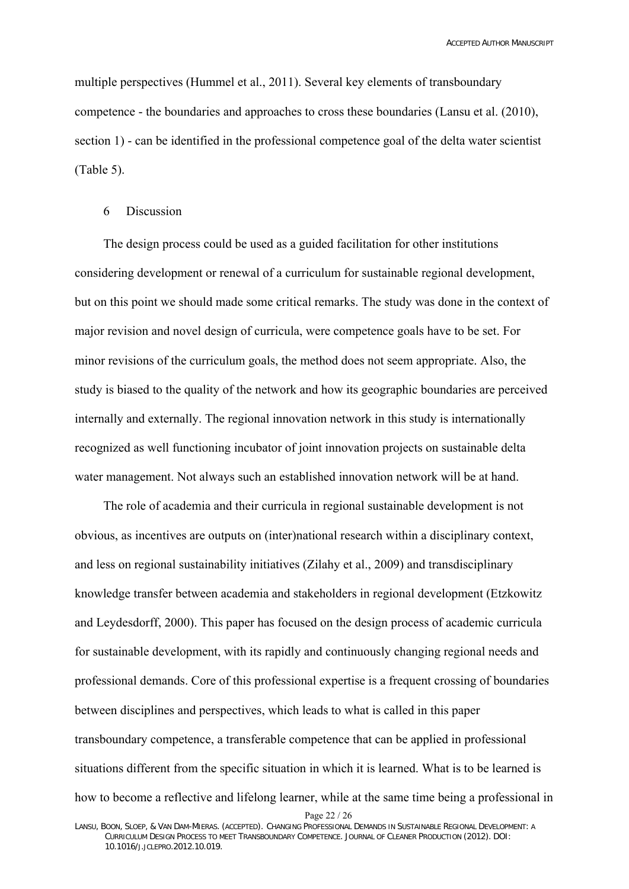multiple perspectives [\(Hummel et al., 2011](#page-25-27)). Several key elements of transboundary competence - the boundaries and approaches to cross these boundaries [\(Lansu et al. \(2010\)](#page-26-3), section 1) - can be identified in the professional competence goal of the delta water scientist (Table 5).

#### 6 Discussion

The design process could be used as a guided facilitation for other institutions considering development or renewal of a curriculum for sustainable regional development, but on this point we should made some critical remarks. The study was done in the context of major revision and novel design of curricula, were competence goals have to be set. For minor revisions of the curriculum goals, the method does not seem appropriate. Also, the study is biased to the quality of the network and how its geographic boundaries are perceived internally and externally. The regional innovation network in this study is internationally recognized as well functioning incubator of joint innovation projects on sustainable delta water management. Not always such an established innovation network will be at hand.

The role of academia and their curricula in regional sustainable development is not obvious, as incentives are outputs on (inter)national research within a disciplinary context, and less on regional sustainability initiatives ([Zilahy et al., 2009](#page-26-28)) and transdisciplinary knowledge transfer between academia and stakeholders in regional development [\(Etzkowitz](#page-25-1)  [and Leydesdorff, 2000\)](#page-25-1). This paper has focused on the design process of academic curricula for sustainable development, with its rapidly and continuously changing regional needs and professional demands. Core of this professional expertise is a frequent crossing of boundaries between disciplines and perspectives, which leads to what is called in this paper transboundary competence, a transferable competence that can be applied in professional situations different from the specific situation in which it is learned. What is to be learned is how to become a reflective and lifelong learner, while at the same time being a professional in

Page 22 / 26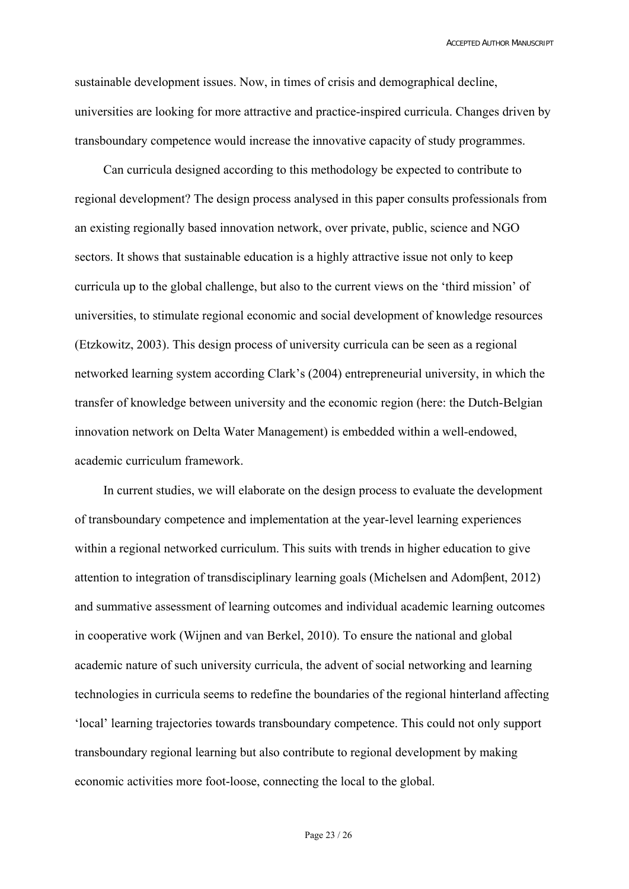sustainable development issues. Now, in times of crisis and demographical decline, universities are looking for more attractive and practice-inspired curricula. Changes driven by transboundary competence would increase the innovative capacity of study programmes.

Can curricula designed according to this methodology be expected to contribute to regional development? The design process analysed in this paper consults professionals from an existing regionally based innovation network, over private, public, science and NGO sectors. It shows that sustainable education is a highly attractive issue not only to keep curricula up to the global challenge, but also to the current views on the 'third mission' of universities, to stimulate regional economic and social development of knowledge resources ([Etzkowitz, 2003](#page-25-4)). This design process of university curricula can be seen as a regional networked learning system according Clark's ([2004\)](#page-25-3) entrepreneurial university, in which the transfer of knowledge between university and the economic region (here: the Dutch-Belgian innovation network on Delta Water Management) is embedded within a well-endowed, academic curriculum framework.

In current studies, we will elaborate on the design process to evaluate the development of transboundary competence and implementation at the year-level learning experiences within a regional networked curriculum. This suits with trends in higher education to give attention to integration of transdisciplinary learning goals ([Michelsen and Adom](#page-26-29)βent, 2012) and summative assessment of learning outcomes and individual academic learning outcomes in cooperative work ([Wijnen and van Berkel, 2010\)](#page-26-30). To ensure the national and global academic nature of such university curricula, the advent of social networking and learning technologies in curricula seems to redefine the boundaries of the regional hinterland affecting 'local' learning trajectories towards transboundary competence. This could not only support transboundary regional learning but also contribute to regional development by making economic activities more foot-loose, connecting the local to the global.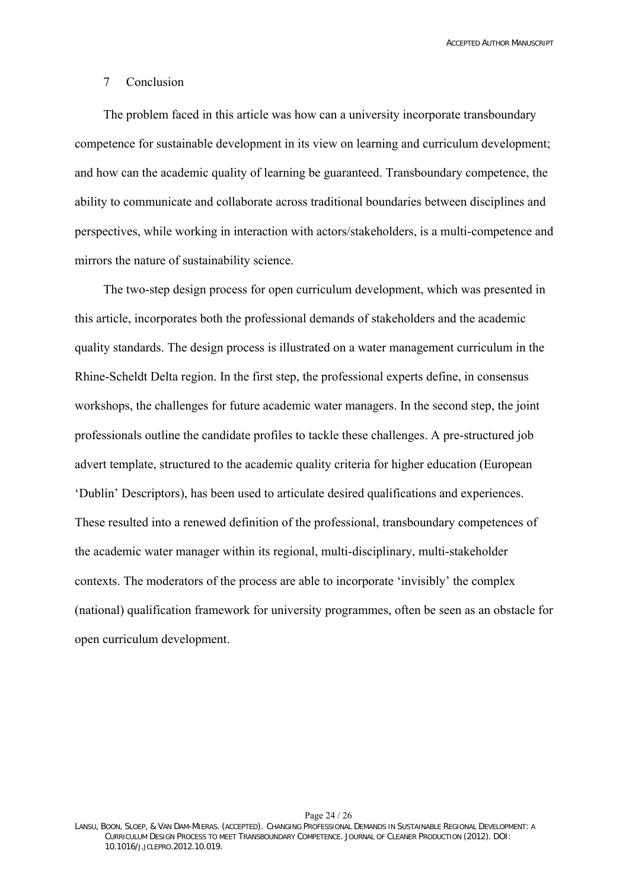## 7 Conclusion

The problem faced in this article was how can a university incorporate transboundary competence for sustainable development in its view on learning and curriculum development; and how can the academic quality of learning be guaranteed. Transboundary competence, the ability to communicate and collaborate across traditional boundaries between disciplines and perspectives, while working in interaction with actors/stakeholders, is a multi-competence and mirrors the nature of sustainability science.

The two-step design process for open curriculum development, which was presented in this article, incorporates both the professional demands of stakeholders and the academic quality standards. The design process is illustrated on a water management curriculum in the Rhine-Scheldt Delta region. In the first step, the professional experts define, in consensus workshops, the challenges for future academic water managers. In the second step, the joint professionals outline the candidate profiles to tackle these challenges. A pre-structured job advert template, structured to the academic quality criteria for higher education (European 'Dublin' Descriptors), has been used to articulate desired qualifications and experiences. These resulted into a renewed definition of the professional, transboundary competences of the academic water manager within its regional, multi-disciplinary, multi-stakeholder contexts. The moderators of the process are able to incorporate 'invisibly' the complex (national) qualification framework for university programmes, often be seen as an obstacle for open curriculum development.

Page 24 / 26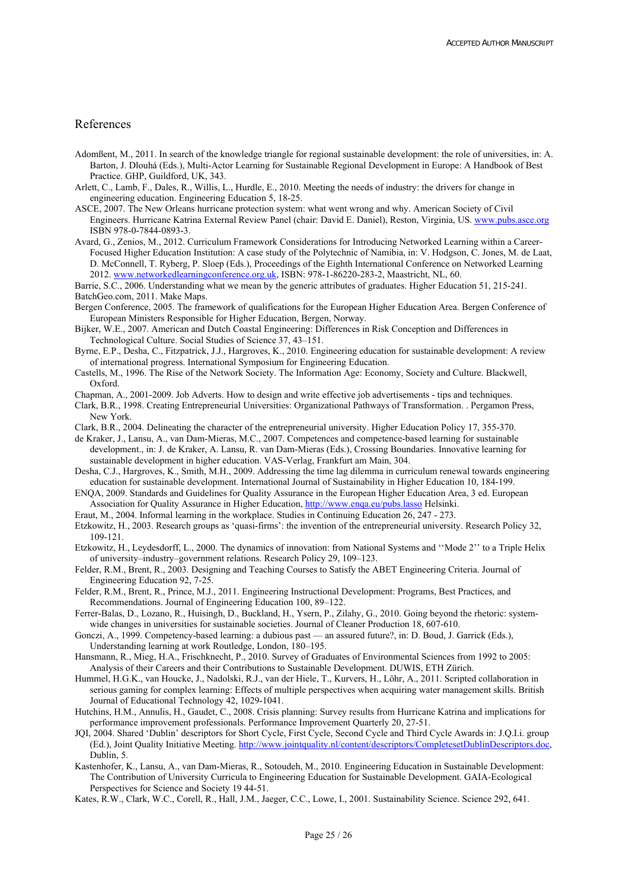#### References

- Adomßent, M., 2011. In search of the knowledge triangle for regional sustainable development: the role of universities, in: A. Barton, J. Dlouhá (Eds.), Multi-Actor Learning for Sustainable Regional Development in Europe: A Handbook of Best Practice. GHP, Guildford, UK, 343.
- <span id="page-25-23"></span>Arlett, C., Lamb, F., Dales, R., Willis, L., Hurdle, E., 2010. Meeting the needs of industry: the drivers for change in engineering education. Engineering Education 5, 18-25.
- <span id="page-25-6"></span>ASCE, 2007. The New Orleans hurricane protection system: what went wrong and why. American Society of Civil Engineers. Hurricane Katrina External Review Panel (chair: David E. Daniel), Reston, Virginia, US. [www.pubs.asce.org](http://www.pubs.asce.org/) ISBN 978-0-7844-0893-3.
- <span id="page-25-12"></span>Avard, G., Zenios, M., 2012. Curriculum Framework Considerations for Introducing Networked Learning within a Career-Focused Higher Education Institution: A case study of the Polytechnic of Namibia, in: V. Hodgson, C. Jones, M. de Laat, D. McConnell, T. Ryberg, P. Sloep (Eds.), Proceedings of the Eighth International Conference on Networked Learning 2012. [www.networkedlearningconference.org.uk,](http://www.networkedlearningconference.org.uk/) ISBN: 978-1-86220-283-2, Maastricht, NL, 60.

<span id="page-25-9"></span>Barrie, S.C., 2006. Understanding what we mean by the generic attributes of graduates. Higher Education 51, 215-241. BatchGeo.com, 2011. Make Maps.

- <span id="page-25-25"></span><span id="page-25-16"></span>Bergen Conference, 2005. The framework of qualifications for the European Higher Education Area. Bergen Conference of European Ministers Responsible for Higher Education, Bergen, Norway.
- <span id="page-25-7"></span>Bijker, W.E., 2007. American and Dutch Coastal Engineering: Differences in Risk Conception and Differences in Technological Culture. Social Studies of Science 37, 43–151.
- <span id="page-25-10"></span>Byrne, E.P., Desha, C., Fitzpatrick, J.J., Hargroves, K., 2010. Engineering education for sustainable development: A review of international progress. International Symposium for Engineering Education.
- <span id="page-25-0"></span>Castells, M., 1996. The Rise of the Network Society. The Information Age: Economy, Society and Culture. Blackwell, Oxford.
- <span id="page-25-24"></span>Chapman, A., 2001-2009. Job Adverts. How to design and write effective job advertisements - tips and techniques.
- <span id="page-25-2"></span>Clark, B.R., 1998. Creating Entrepreneurial Universities: Organizational Pathways of Transformation. . Pergamon Press, New York.
- Clark, B.R., 2004. Delineating the character of the entrepreneurial university. Higher Education Policy 17, 355-370.
- <span id="page-25-20"></span><span id="page-25-3"></span>de Kraker, J., Lansu, A., van Dam-Mieras, M.C., 2007. Competences and competence-based learning for sustainable development., in: J. de Kraker, A. Lansu, R. van Dam-Mieras (Eds.), Crossing Boundaries. Innovative learning for sustainable development in higher education. VAS-Verlag, Frankfurt am Main, 304.
- <span id="page-25-11"></span>Desha, C.J., Hargroves, K., Smith, M.H., 2009. Addressing the time lag dilemma in curriculum renewal towards engineering education for sustainable development. International Journal of Sustainability in Higher Education 10, 184-199.
- <span id="page-25-17"></span>ENQA, 2009. Standards and Guidelines for Quality Assurance in the European Higher Education Area, 3 ed. European Association for Quality Assurance in Higher Education,<http://www.enqa.eu/pubs.lasso>Helsinki.
- <span id="page-25-14"></span>Eraut, M., 2004. Informal learning in the workplace. Studies in Continuing Education 26, 247 - 273.
- <span id="page-25-4"></span>Etzkowitz, H., 2003. Research groups as 'quasi-firms': the invention of the entrepreneurial university. Research Policy 32, 109-121.
- <span id="page-25-1"></span>Etzkowitz, H., Leydesdorff, L., 2000. The dynamics of innovation: from National Systems and ''Mode 2'' to a Triple Helix of university–industry–government relations. Research Policy 29, 109–123.
- <span id="page-25-15"></span>Felder, R.M., Brent, R., 2003. Designing and Teaching Courses to Satisfy the ABET Engineering Criteria. Journal of Engineering Education 92, 7-25.
- <span id="page-25-8"></span>Felder, R.M., Brent, R., Prince, M.J., 2011. Engineering Instructional Development: Programs, Best Practices, and Recommendations. Journal of Engineering Education 100, 89–122.
- <span id="page-25-19"></span>Ferrer-Balas, D., Lozano, R., Huisingh, D., Buckland, H., Ysern, P., Zilahy, G., 2010. Going beyond the rhetoric: systemwide changes in universities for sustainable societies. Journal of Cleaner Production 18, 607-610.
- <span id="page-25-13"></span>Gonczi, A., 1999. Competency-based learning: a dubious past — an assured future?, in: D. Boud, J. Garrick (Eds.), Understanding learning at work Routledge, London, 180–195.
- <span id="page-25-26"></span>Hansmann, R., Mieg, H.A., Frischknecht, P., 2010. Survey of Graduates of Environmental Sciences from 1992 to 2005: Analysis of their Careers and their Contributions to Sustainable Development. DUWIS, ETH Zürich.
- <span id="page-25-27"></span>Hummel, H.G.K., van Houcke, J., Nadolski, R.J., van der Hiele, T., Kurvers, H., Löhr, A., 2011. Scripted collaboration in serious gaming for complex learning: Effects of multiple perspectives when acquiring water management skills. British Journal of Educational Technology 42, 1029-1041.
- <span id="page-25-5"></span>Hutchins, H.M., Annulis, H., Gaudet, C., 2008. Crisis planning: Survey results from Hurricane Katrina and implications for performance improvement professionals. Performance Improvement Quarterly 20, 27-51.
- <span id="page-25-18"></span>JQI, 2004. Shared 'Dublin' descriptors for Short Cycle, First Cycle, Second Cycle and Third Cycle Awards in: J.Q.I.i. group (Ed.), Joint Quality Initiative Meeting.<http://www.jointquality.nl/content/descriptors/CompletesetDublinDescriptors.doc>, Dublin, 5.
- <span id="page-25-22"></span>Kastenhofer, K., Lansu, A., van Dam-Mieras, R., Sotoudeh, M., 2010. Engineering Education in Sustainable Development: The Contribution of University Curricula to Engineering Education for Sustainable Development. GAIA-Ecological Perspectives for Science and Society 19 44-51.
- <span id="page-25-21"></span>Kates, R.W., Clark, W.C., Corell, R., Hall, J.M., Jaeger, C.C., Lowe, I., 2001. Sustainability Science. Science 292, 641.